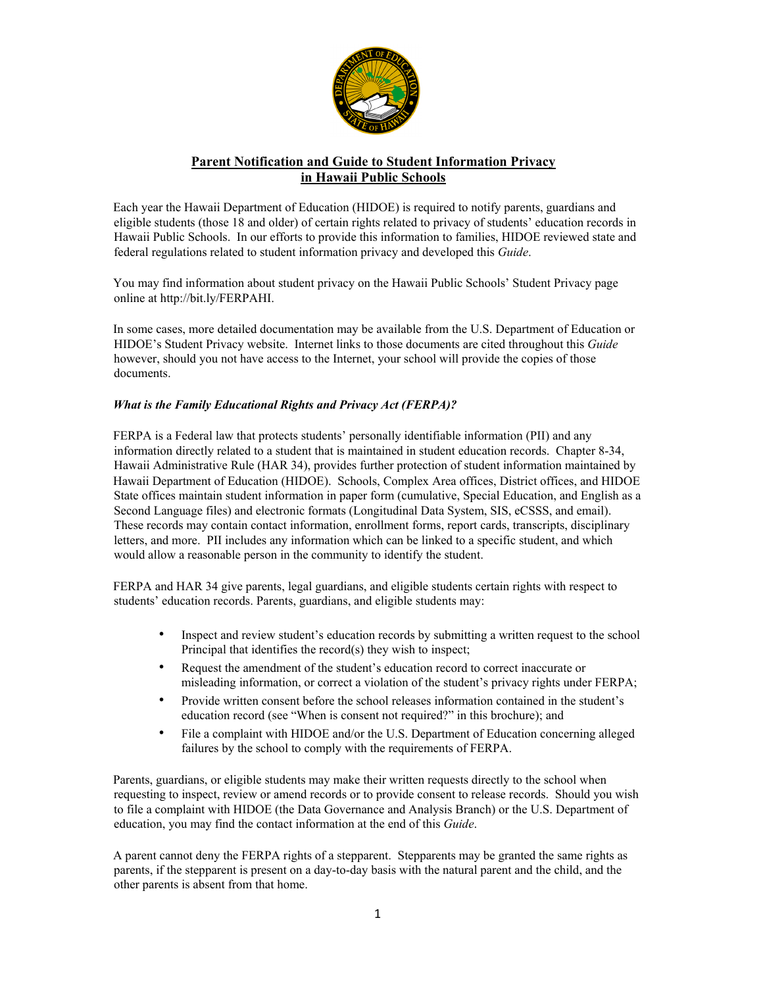

# **Parent Notification and Guide to Student Information Privacy in Hawaii Public Schools**

Each year the Hawaii Department of Education (HIDOE) is required to notify parents, guardians and eligible students (those 18 and older) of certain rights related to privacy of students' education records in Hawaii Public Schools. In our efforts to provide this information to families, HIDOE reviewed state and federal regulations related to student information privacy and developed this *Guide*.

You may find information about student privacy on the Hawaii Public Schools' Student Privacy page online at http://bit.ly/FERPAHI.

In some cases, more detailed documentation may be available from the U.S. Department of Education or HIDOE's Student Privacy website. Internet links to those documents are cited throughout this *Guide* however, should you not have access to the Internet, your school will provide the copies of those documents.

# *What is the Family Educational Rights and Privacy Act (FERPA)?*

FERPA is a Federal law that protects students' personally identifiable information (PII) and any information directly related to a student that is maintained in student education records. Chapter 8-34, Hawaii Administrative Rule (HAR 34), provides further protection of student information maintained by Hawaii Department of Education (HIDOE). Schools, Complex Area offices, District offices, and HIDOE State offices maintain student information in paper form (cumulative, Special Education, and English as a Second Language files) and electronic formats (Longitudinal Data System, SIS, eCSSS, and email). These records may contain contact information, enrollment forms, report cards, transcripts, disciplinary letters, and more. PII includes any information which can be linked to a specific student, and which would allow a reasonable person in the community to identify the student.

FERPA and HAR 34 give parents, legal guardians, and eligible students certain rights with respect to students' education records. Parents, guardians, and eligible students may:

- Inspect and review student's education records by submitting a written request to the school Principal that identifies the record(s) they wish to inspect;
- Request the amendment of the student's education record to correct inaccurate or misleading information, or correct a violation of the student's privacy rights under FERPA;
- Provide written consent before the school releases information contained in the student's education record (see "When is consent not required?" in this brochure); and
- File a complaint with HIDOE and/or the U.S. Department of Education concerning alleged failures by the school to comply with the requirements of FERPA.

Parents, guardians, or eligible students may make their written requests directly to the school when requesting to inspect, review or amend records or to provide consent to release records. Should you wish to file a complaint with HIDOE (the Data Governance and Analysis Branch) or the U.S. Department of education, you may find the contact information at the end of this *Guide*.

A parent cannot deny the FERPA rights of a stepparent. Stepparents may be granted the same rights as parents, if the stepparent is present on a day-to-day basis with the natural parent and the child, and the other parents is absent from that home.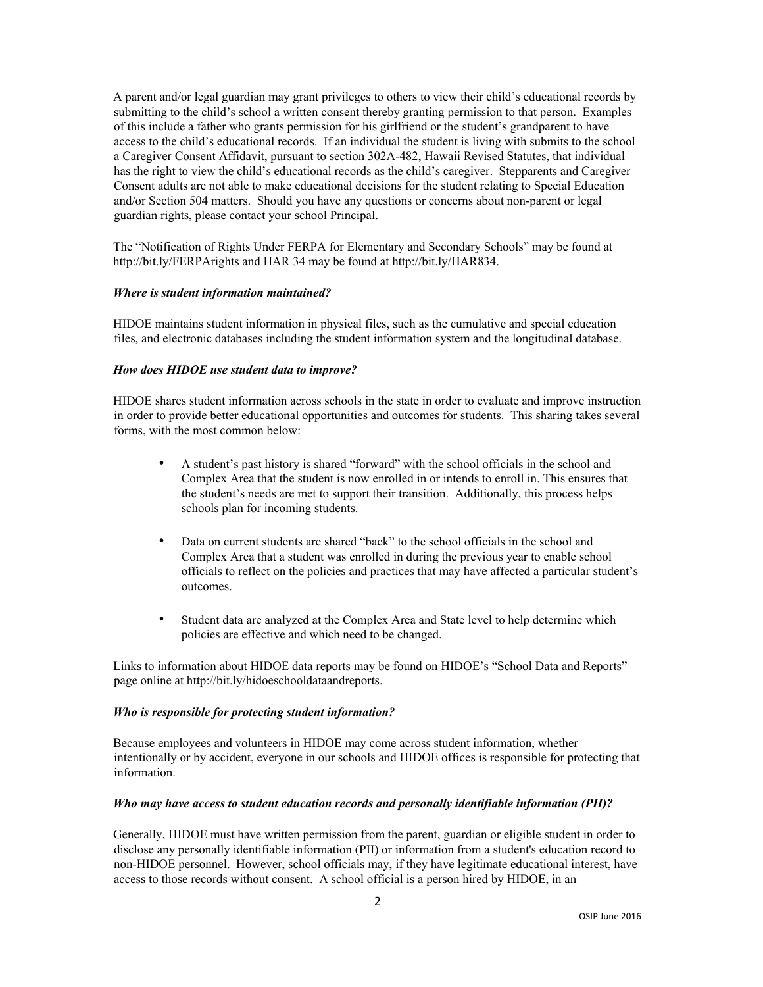A parent and/or legal guardian may grant privileges to others to view their child's educational records by submitting to the child's school a written consent thereby granting permission to that person. Examples of this include a father who grants permission for his girlfriend or the student's grandparent to have access to the child's educational records. If an individual the student is living with submits to the school a Caregiver Consent Affidavit, pursuant to section 302A-482, Hawaii Revised Statutes, that individual has the right to view the child's educational records as the child's caregiver. Stepparents and Caregiver Consent adults are not able to make educational decisions for the student relating to Special Education and/or Section 504 matters. Should you have any questions or concerns about non-parent or legal guardian rights, please contact your school Principal.

The "Notification of Rights Under FERPA for Elementary and Secondary Schools" may be found at http://bit.ly/FERPArights and HAR 34 may be found at http://bit.ly/HAR834.

#### *Where is student information maintained?*

HIDOE maintains student information in physical files, such as the cumulative and special education files, and electronic databases including the student information system and the longitudinal database.

#### *How does HIDOE use student data to improve?*

HIDOE shares student information across schools in the state in order to evaluate and improve instruction in order to provide better educational opportunities and outcomes for students. This sharing takes several forms, with the most common below:

- A student's past history is shared "forward" with the school officials in the school and Complex Area that the student is now enrolled in or intends to enroll in. This ensures that the student's needs are met to support their transition. Additionally, this process helps schools plan for incoming students.
- Data on current students are shared "back" to the school officials in the school and Complex Area that a student was enrolled in during the previous year to enable school officials to reflect on the policies and practices that may have affected a particular student's outcomes.
- Student data are analyzed at the Complex Area and State level to help determine which policies are effective and which need to be changed.

Links to information about HIDOE data reports may be found on HIDOE's "School Data and Reports" page online at http://bit.ly/hidoeschooldataandreports.

## *Who is responsible for protecting student information?*

Because employees and volunteers in HIDOE may come across student information, whether intentionally or by accident, everyone in our schools and HIDOE offices is responsible for protecting that information.

#### *Who may have access to student education records and personally identifiable information (PII)?*

Generally, HIDOE must have written permission from the parent, guardian or eligible student in order to disclose any personally identifiable information (PII) or information from a student's education record to non-HIDOE personnel. However, school officials may, if they have legitimate educational interest, have access to those records without consent. A school official is a person hired by HIDOE, in an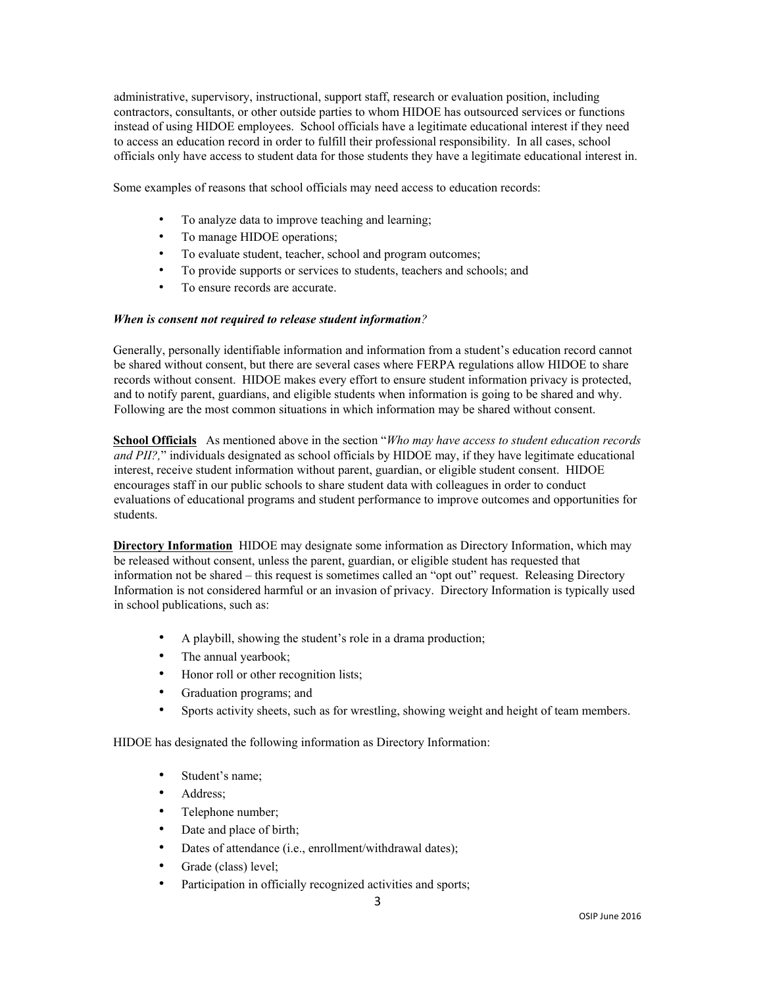administrative, supervisory, instructional, support staff, research or evaluation position, including contractors, consultants, or other outside parties to whom HIDOE has outsourced services or functions instead of using HIDOE employees. School officials have a legitimate educational interest if they need to access an education record in order to fulfill their professional responsibility. In all cases, school officials only have access to student data for those students they have a legitimate educational interest in.

Some examples of reasons that school officials may need access to education records:

- To analyze data to improve teaching and learning;
- To manage HIDOE operations;
- To evaluate student, teacher, school and program outcomes;
- To provide supports or services to students, teachers and schools; and
- To ensure records are accurate.

## *When is consent not required to release student information?*

Generally, personally identifiable information and information from a student's education record cannot be shared without consent, but there are several cases where FERPA regulations allow HIDOE to share records without consent. HIDOE makes every effort to ensure student information privacy is protected, and to notify parent, guardians, and eligible students when information is going to be shared and why. Following are the most common situations in which information may be shared without consent.

**School Officials** As mentioned above in the section "*Who may have access to student education records and PII?,*" individuals designated as school officials by HIDOE may, if they have legitimate educational interest, receive student information without parent, guardian, or eligible student consent. HIDOE encourages staff in our public schools to share student data with colleagues in order to conduct evaluations of educational programs and student performance to improve outcomes and opportunities for students.

**Directory Information** HIDOE may designate some information as Directory Information, which may be released without consent, unless the parent, guardian, or eligible student has requested that information not be shared – this request is sometimes called an "opt out" request. Releasing Directory Information is not considered harmful or an invasion of privacy. Directory Information is typically used in school publications, such as:

- A playbill, showing the student's role in a drama production;
- The annual yearbook;
- Honor roll or other recognition lists;
- Graduation programs; and
- Sports activity sheets, such as for wrestling, showing weight and height of team members.

HIDOE has designated the following information as Directory Information:

- Student's name;
- Address:
- Telephone number;
- Date and place of birth;
- Dates of attendance (i.e., enrollment/withdrawal dates);
- Grade (class) level;
- Participation in officially recognized activities and sports;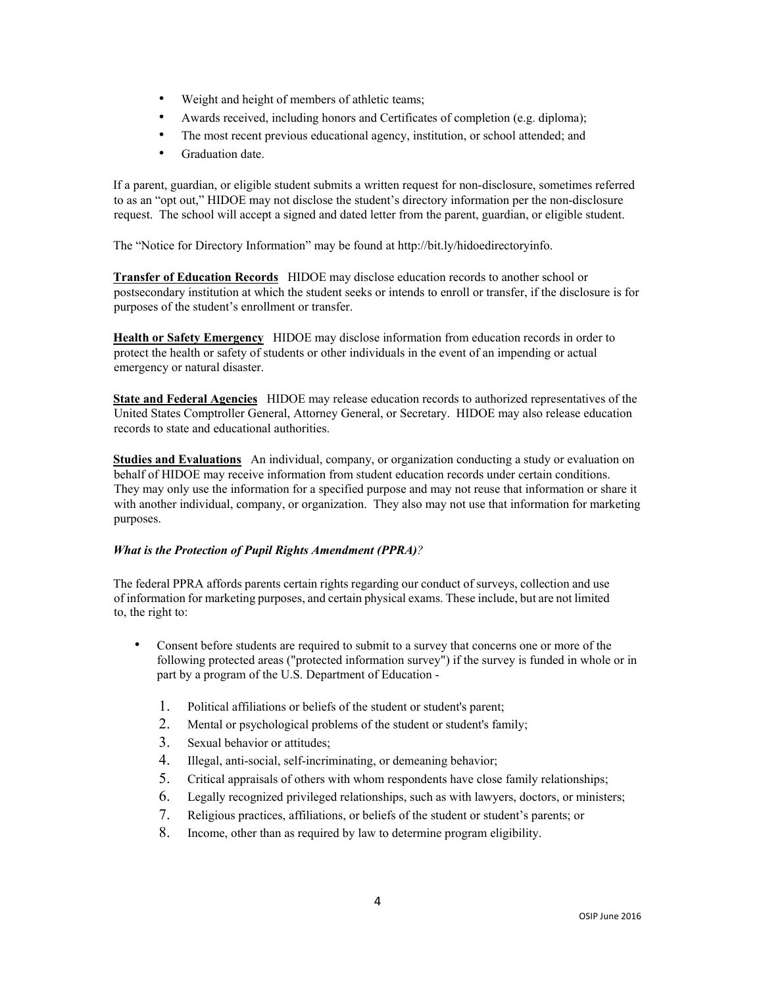- Weight and height of members of athletic teams;
- Awards received, including honors and Certificates of completion (e.g. diploma);
- The most recent previous educational agency, institution, or school attended; and
- Graduation date.

If a parent, guardian, or eligible student submits a written request for non-disclosure, sometimes referred to as an "opt out," HIDOE may not disclose the student's directory information per the non-disclosure request. The school will accept a signed and dated letter from the parent, guardian, or eligible student.

The "Notice for Directory Information" may be found at http://bit.ly/hidoedirectoryinfo.

**Transfer of Education Records** HIDOE may disclose education records to another school or postsecondary institution at which the student seeks or intends to enroll or transfer, if the disclosure is for purposes of the student's enrollment or transfer.

**Health or Safety Emergency** HIDOE may disclose information from education records in order to protect the health or safety of students or other individuals in the event of an impending or actual emergency or natural disaster.

**State and Federal Agencies** HIDOE may release education records to authorized representatives of the United States Comptroller General, Attorney General, or Secretary. HIDOE may also release education records to state and educational authorities.

**Studies and Evaluations** An individual, company, or organization conducting a study or evaluation on behalf of HIDOE may receive information from student education records under certain conditions. They may only use the information for a specified purpose and may not reuse that information or share it with another individual, company, or organization. They also may not use that information for marketing purposes.

## *What is the Protection of Pupil Rights Amendment (PPRA)?*

The federal PPRA affords parents certain rights regarding our conduct of surveys, collection and use of information for marketing purposes, and certain physical exams. These include, but are not limited to, the right to:

- Consent before students are required to submit to a survey that concerns one or more of the following protected areas ("protected information survey") if the survey is funded in whole or in part by a program of the U.S. Department of Education -
	- 1. Political affiliations or beliefs of the student or student's parent;
	- 2. Mental or psychological problems of the student or student's family;
	- 3. Sexual behavior or attitudes;
	- 4. Illegal, anti-social, self-incriminating, or demeaning behavior;
	- 5. Critical appraisals of others with whom respondents have close family relationships;
	- 6. Legally recognized privileged relationships, such as with lawyers, doctors, or ministers;
	- 7. Religious practices, affiliations, or beliefs of the student or student's parents; or
	- 8. Income, other than as required by law to determine program eligibility.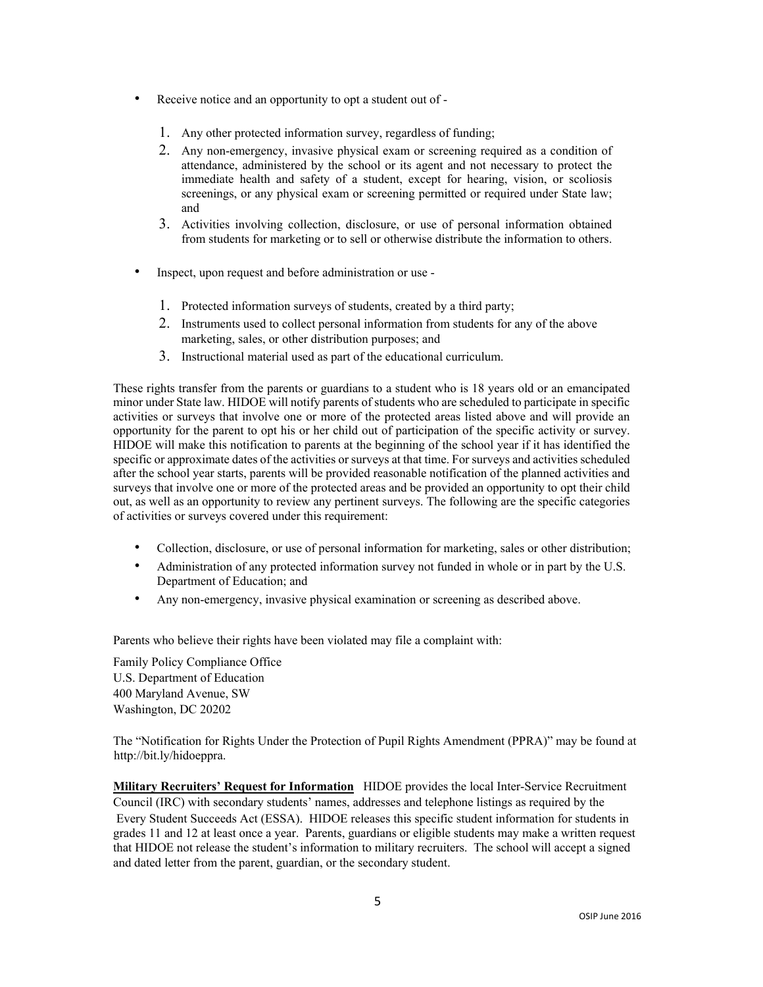- Receive notice and an opportunity to opt a student out of
	- 1. Any other protected information survey, regardless of funding;
	- 2. Any non-emergency, invasive physical exam or screening required as a condition of attendance, administered by the school or its agent and not necessary to protect the immediate health and safety of a student, except for hearing, vision, or scoliosis screenings, or any physical exam or screening permitted or required under State law; and
	- 3. Activities involving collection, disclosure, or use of personal information obtained from students for marketing or to sell or otherwise distribute the information to others.
- Inspect, upon request and before administration or use
	- 1. Protected information surveys of students, created by a third party;
	- 2. Instruments used to collect personal information from students for any of the above marketing, sales, or other distribution purposes; and
	- 3. Instructional material used as part of the educational curriculum.

These rights transfer from the parents or guardians to a student who is 18 years old or an emancipated minor under State law. HIDOE will notify parents of students who are scheduled to participate in specific activities or surveys that involve one or more of the protected areas listed above and will provide an opportunity for the parent to opt his or her child out of participation of the specific activity or survey. HIDOE will make this notification to parents at the beginning of the school year if it has identified the specific or approximate dates of the activities or surveys at that time. For surveys and activities scheduled after the school year starts, parents will be provided reasonable notification of the planned activities and surveys that involve one or more of the protected areas and be provided an opportunity to opt their child out, as well as an opportunity to review any pertinent surveys. The following are the specific categories of activities or surveys covered under this requirement:

- Collection, disclosure, or use of personal information for marketing, sales or other distribution;
- Administration of any protected information survey not funded in whole or in part by the U.S. Department of Education; and
- Any non-emergency, invasive physical examination or screening as described above.

Parents who believe their rights have been violated may file a complaint with:

Family Policy Compliance Office U.S. Department of Education 400 Maryland Avenue, SW Washington, DC 20202

The "Notification for Rights Under the Protection of Pupil Rights Amendment (PPRA)" may be found at http://bit.ly/hidoeppra.

**Military Recruiters' Request for Information** HIDOE provides the local Inter-Service Recruitment Council (IRC) with secondary students' names, addresses and telephone listings as required by the Every Student Succeeds Act (ESSA). HIDOE releases this specific student information for students in grades 11 and 12 at least once a year. Parents, guardians or eligible students may make a written request that HIDOE not release the student's information to military recruiters. The school will accept a signed and dated letter from the parent, guardian, or the secondary student.